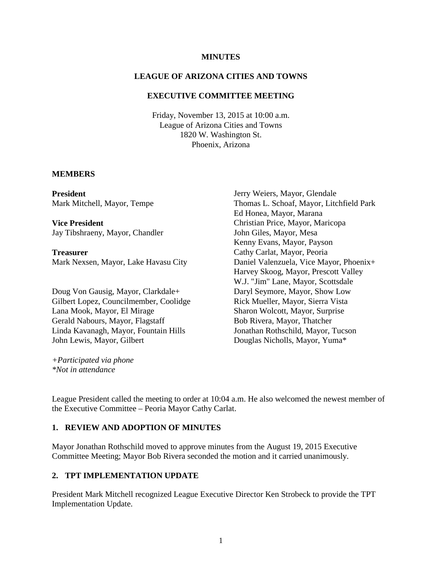#### **MINUTES**

### **LEAGUE OF ARIZONA CITIES AND TOWNS**

### **EXECUTIVE COMMITTEE MEETING**

Friday, November 13, 2015 at 10:00 a.m. League of Arizona Cities and Towns 1820 W. Washington St. Phoenix, Arizona

#### **MEMBERS**

**President** Mark Mitchell, Mayor, Tempe

**Vice President** Jay Tibshraeny, Mayor, Chandler

**Treasurer** Mark Nexsen, Mayor, Lake Havasu City

Doug Von Gausig, Mayor, Clarkdale+ Gilbert Lopez, Councilmember, Coolidge Lana Mook, Mayor, El Mirage Gerald Nabours, Mayor, Flagstaff Linda Kavanagh, Mayor, Fountain Hills John Lewis, Mayor, Gilbert

*+Participated via phone \*Not in attendance*

Jerry Weiers, Mayor, Glendale Thomas L. Schoaf, Mayor, Litchfield Park Ed Honea, Mayor, Marana Christian Price, Mayor, Maricopa John Giles, Mayor, Mesa Kenny Evans, Mayor, Payson Cathy Carlat, Mayor, Peoria Daniel Valenzuela, Vice Mayor, Phoenix+ Harvey Skoog, Mayor, Prescott Valley W.J. "Jim" Lane, Mayor, Scottsdale Daryl Seymore, Mayor, Show Low Rick Mueller, Mayor, Sierra Vista Sharon Wolcott, Mayor, Surprise Bob Rivera, Mayor, Thatcher Jonathan Rothschild, Mayor, Tucson Douglas Nicholls, Mayor, Yuma\*

League President called the meeting to order at 10:04 a.m. He also welcomed the newest member of the Executive Committee – Peoria Mayor Cathy Carlat.

### **1. REVIEW AND ADOPTION OF MINUTES**

Mayor Jonathan Rothschild moved to approve minutes from the August 19, 2015 Executive Committee Meeting; Mayor Bob Rivera seconded the motion and it carried unanimously.

### **2. TPT IMPLEMENTATION UPDATE**

President Mark Mitchell recognized League Executive Director Ken Strobeck to provide the TPT Implementation Update.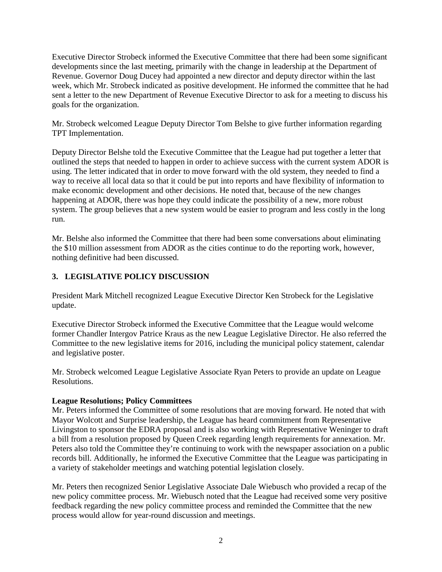Executive Director Strobeck informed the Executive Committee that there had been some significant developments since the last meeting, primarily with the change in leadership at the Department of Revenue. Governor Doug Ducey had appointed a new director and deputy director within the last week, which Mr. Strobeck indicated as positive development. He informed the committee that he had sent a letter to the new Department of Revenue Executive Director to ask for a meeting to discuss his goals for the organization.

Mr. Strobeck welcomed League Deputy Director Tom Belshe to give further information regarding TPT Implementation.

Deputy Director Belshe told the Executive Committee that the League had put together a letter that outlined the steps that needed to happen in order to achieve success with the current system ADOR is using. The letter indicated that in order to move forward with the old system, they needed to find a way to receive all local data so that it could be put into reports and have flexibility of information to make economic development and other decisions. He noted that, because of the new changes happening at ADOR, there was hope they could indicate the possibility of a new, more robust system. The group believes that a new system would be easier to program and less costly in the long run.

Mr. Belshe also informed the Committee that there had been some conversations about eliminating the \$10 million assessment from ADOR as the cities continue to do the reporting work, however, nothing definitive had been discussed.

# **3. LEGISLATIVE POLICY DISCUSSION**

President Mark Mitchell recognized League Executive Director Ken Strobeck for the Legislative update.

Executive Director Strobeck informed the Executive Committee that the League would welcome former Chandler Intergov Patrice Kraus as the new League Legislative Director. He also referred the Committee to the new legislative items for 2016, including the municipal policy statement, calendar and legislative poster.

Mr. Strobeck welcomed League Legislative Associate Ryan Peters to provide an update on League Resolutions.

## **League Resolutions; Policy Committees**

Mr. Peters informed the Committee of some resolutions that are moving forward. He noted that with Mayor Wolcott and Surprise leadership, the League has heard commitment from Representative Livingston to sponsor the EDRA proposal and is also working with Representative Weninger to draft a bill from a resolution proposed by Queen Creek regarding length requirements for annexation. Mr. Peters also told the Committee they're continuing to work with the newspaper association on a public records bill. Additionally, he informed the Executive Committee that the League was participating in a variety of stakeholder meetings and watching potential legislation closely.

Mr. Peters then recognized Senior Legislative Associate Dale Wiebusch who provided a recap of the new policy committee process. Mr. Wiebusch noted that the League had received some very positive feedback regarding the new policy committee process and reminded the Committee that the new process would allow for year-round discussion and meetings.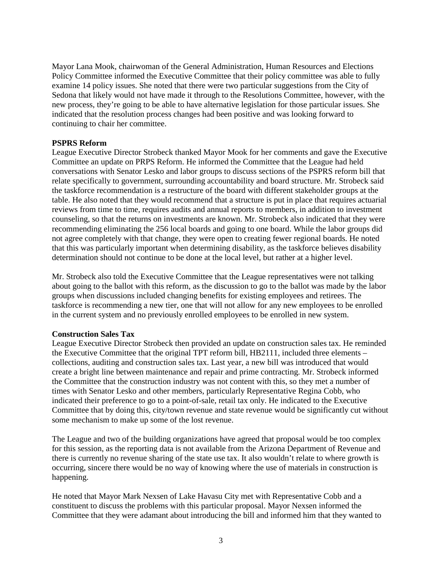Mayor Lana Mook, chairwoman of the General Administration, Human Resources and Elections Policy Committee informed the Executive Committee that their policy committee was able to fully examine 14 policy issues. She noted that there were two particular suggestions from the City of Sedona that likely would not have made it through to the Resolutions Committee, however, with the new process, they're going to be able to have alternative legislation for those particular issues. She indicated that the resolution process changes had been positive and was looking forward to continuing to chair her committee.

## **PSPRS Reform**

League Executive Director Strobeck thanked Mayor Mook for her comments and gave the Executive Committee an update on PRPS Reform. He informed the Committee that the League had held conversations with Senator Lesko and labor groups to discuss sections of the PSPRS reform bill that relate specifically to government, surrounding accountability and board structure. Mr. Strobeck said the taskforce recommendation is a restructure of the board with different stakeholder groups at the table. He also noted that they would recommend that a structure is put in place that requires actuarial reviews from time to time, requires audits and annual reports to members, in addition to investment counseling, so that the returns on investments are known. Mr. Strobeck also indicated that they were recommending eliminating the 256 local boards and going to one board. While the labor groups did not agree completely with that change, they were open to creating fewer regional boards. He noted that this was particularly important when determining disability, as the taskforce believes disability determination should not continue to be done at the local level, but rather at a higher level.

Mr. Strobeck also told the Executive Committee that the League representatives were not talking about going to the ballot with this reform, as the discussion to go to the ballot was made by the labor groups when discussions included changing benefits for existing employees and retirees. The taskforce is recommending a new tier, one that will not allow for any new employees to be enrolled in the current system and no previously enrolled employees to be enrolled in new system.

## **Construction Sales Tax**

League Executive Director Strobeck then provided an update on construction sales tax. He reminded the Executive Committee that the original TPT reform bill, HB2111, included three elements – collections, auditing and construction sales tax. Last year, a new bill was introduced that would create a bright line between maintenance and repair and prime contracting. Mr. Strobeck informed the Committee that the construction industry was not content with this, so they met a number of times with Senator Lesko and other members, particularly Representative Regina Cobb, who indicated their preference to go to a point-of-sale, retail tax only. He indicated to the Executive Committee that by doing this, city/town revenue and state revenue would be significantly cut without some mechanism to make up some of the lost revenue.

The League and two of the building organizations have agreed that proposal would be too complex for this session, as the reporting data is not available from the Arizona Department of Revenue and there is currently no revenue sharing of the state use tax. It also wouldn't relate to where growth is occurring, sincere there would be no way of knowing where the use of materials in construction is happening.

He noted that Mayor Mark Nexsen of Lake Havasu City met with Representative Cobb and a constituent to discuss the problems with this particular proposal. Mayor Nexsen informed the Committee that they were adamant about introducing the bill and informed him that they wanted to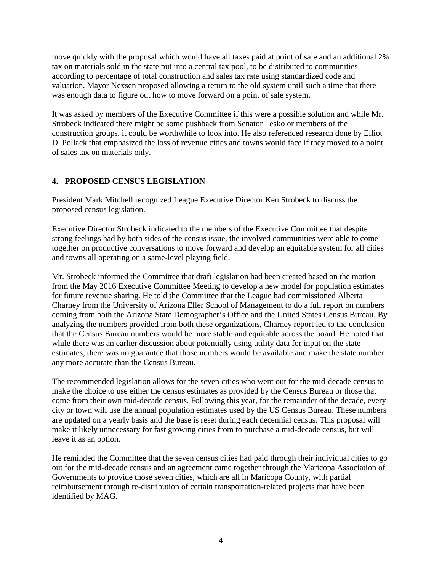move quickly with the proposal which would have all taxes paid at point of sale and an additional 2% tax on materials sold in the state put into a central tax pool, to be distributed to communities according to percentage of total construction and sales tax rate using standardized code and valuation. Mayor Nexsen proposed allowing a return to the old system until such a time that there was enough data to figure out how to move forward on a point of sale system.

It was asked by members of the Executive Committee if this were a possible solution and while Mr. Strobeck indicated there might be some pushback from Senator Lesko or members of the construction groups, it could be worthwhile to look into. He also referenced research done by Elliot D. Pollack that emphasized the loss of revenue cities and towns would face if they moved to a point of sales tax on materials only.

# **4. PROPOSED CENSUS LEGISLATION**

President Mark Mitchell recognized League Executive Director Ken Strobeck to discuss the proposed census legislation.

Executive Director Strobeck indicated to the members of the Executive Committee that despite strong feelings had by both sides of the census issue, the involved communities were able to come together on productive conversations to move forward and develop an equitable system for all cities and towns all operating on a same-level playing field.

Mr. Strobeck informed the Committee that draft legislation had been created based on the motion from the May 2016 Executive Committee Meeting to develop a new model for population estimates for future revenue sharing. He told the Committee that the League had commissioned Alberta Charney from the University of Arizona Eller School of Management to do a full report on numbers coming from both the Arizona State Demographer's Office and the United States Census Bureau. By analyzing the numbers provided from both these organizations, Charney report led to the conclusion that the Census Bureau numbers would be more stable and equitable across the board. He noted that while there was an earlier discussion about potentially using utility data for input on the state estimates, there was no guarantee that those numbers would be available and make the state number any more accurate than the Census Bureau.

The recommended legislation allows for the seven cities who went out for the mid-decade census to make the choice to use either the census estimates as provided by the Census Bureau or those that come from their own mid-decade census. Following this year, for the remainder of the decade, every city or town will use the annual population estimates used by the US Census Bureau. These numbers are updated on a yearly basis and the base is reset during each decennial census. This proposal will make it likely unnecessary for fast growing cities from to purchase a mid-decade census, but will leave it as an option.

He reminded the Committee that the seven census cities had paid through their individual cities to go out for the mid-decade census and an agreement came together through the Maricopa Association of Governments to provide those seven cities, which are all in Maricopa County, with partial reimbursement through re-distribution of certain transportation-related projects that have been identified by MAG.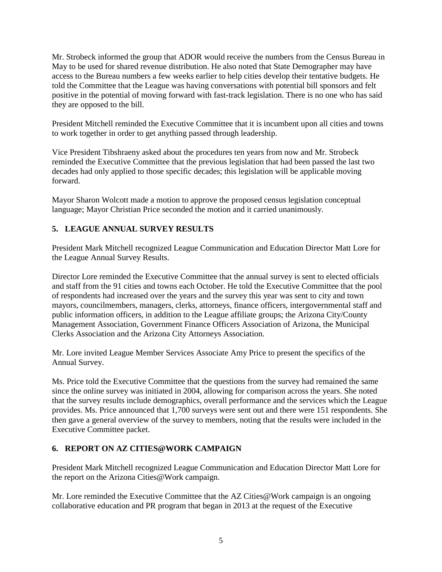Mr. Strobeck informed the group that ADOR would receive the numbers from the Census Bureau in May to be used for shared revenue distribution. He also noted that State Demographer may have access to the Bureau numbers a few weeks earlier to help cities develop their tentative budgets. He told the Committee that the League was having conversations with potential bill sponsors and felt positive in the potential of moving forward with fast-track legislation. There is no one who has said they are opposed to the bill.

President Mitchell reminded the Executive Committee that it is incumbent upon all cities and towns to work together in order to get anything passed through leadership.

Vice President Tibshraeny asked about the procedures ten years from now and Mr. Strobeck reminded the Executive Committee that the previous legislation that had been passed the last two decades had only applied to those specific decades; this legislation will be applicable moving forward.

Mayor Sharon Wolcott made a motion to approve the proposed census legislation conceptual language; Mayor Christian Price seconded the motion and it carried unanimously.

# **5. LEAGUE ANNUAL SURVEY RESULTS**

President Mark Mitchell recognized League Communication and Education Director Matt Lore for the League Annual Survey Results.

Director Lore reminded the Executive Committee that the annual survey is sent to elected officials and staff from the 91 cities and towns each October. He told the Executive Committee that the pool of respondents had increased over the years and the survey this year was sent to city and town mayors, councilmembers, managers, clerks, attorneys, finance officers, intergovernmental staff and public information officers, in addition to the League affiliate groups; the Arizona City/County Management Association, Government Finance Officers Association of Arizona, the Municipal Clerks Association and the Arizona City Attorneys Association.

Mr. Lore invited League Member Services Associate Amy Price to present the specifics of the Annual Survey.

Ms. Price told the Executive Committee that the questions from the survey had remained the same since the online survey was initiated in 2004, allowing for comparison across the years. She noted that the survey results include demographics, overall performance and the services which the League provides. Ms. Price announced that 1,700 surveys were sent out and there were 151 respondents. She then gave a general overview of the survey to members, noting that the results were included in the Executive Committee packet.

# **6. REPORT ON AZ CITIES@WORK CAMPAIGN**

President Mark Mitchell recognized League Communication and Education Director Matt Lore for the report on the Arizona Cities@Work campaign.

Mr. Lore reminded the Executive Committee that the AZ Cities@Work campaign is an ongoing collaborative education and PR program that began in 2013 at the request of the Executive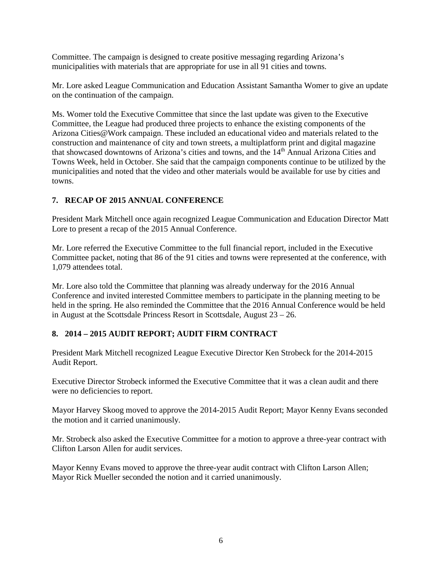Committee. The campaign is designed to create positive messaging regarding Arizona's municipalities with materials that are appropriate for use in all 91 cities and towns.

Mr. Lore asked League Communication and Education Assistant Samantha Womer to give an update on the continuation of the campaign.

Ms. Womer told the Executive Committee that since the last update was given to the Executive Committee, the League had produced three projects to enhance the existing components of the Arizona Cities@Work campaign. These included an educational video and materials related to the construction and maintenance of city and town streets, a multiplatform print and digital magazine that showcased downtowns of Arizona's cities and towns, and the 14<sup>th</sup> Annual Arizona Cities and Towns Week, held in October. She said that the campaign components continue to be utilized by the municipalities and noted that the video and other materials would be available for use by cities and towns.

# **7. RECAP OF 2015 ANNUAL CONFERENCE**

President Mark Mitchell once again recognized League Communication and Education Director Matt Lore to present a recap of the 2015 Annual Conference.

Mr. Lore referred the Executive Committee to the full financial report, included in the Executive Committee packet, noting that 86 of the 91 cities and towns were represented at the conference, with 1,079 attendees total.

Mr. Lore also told the Committee that planning was already underway for the 2016 Annual Conference and invited interested Committee members to participate in the planning meeting to be held in the spring. He also reminded the Committee that the 2016 Annual Conference would be held in August at the Scottsdale Princess Resort in Scottsdale, August 23 – 26.

# **8. 2014 – 2015 AUDIT REPORT; AUDIT FIRM CONTRACT**

President Mark Mitchell recognized League Executive Director Ken Strobeck for the 2014-2015 Audit Report.

Executive Director Strobeck informed the Executive Committee that it was a clean audit and there were no deficiencies to report.

Mayor Harvey Skoog moved to approve the 2014-2015 Audit Report; Mayor Kenny Evans seconded the motion and it carried unanimously.

Mr. Strobeck also asked the Executive Committee for a motion to approve a three-year contract with Clifton Larson Allen for audit services.

Mayor Kenny Evans moved to approve the three-year audit contract with Clifton Larson Allen; Mayor Rick Mueller seconded the notion and it carried unanimously.